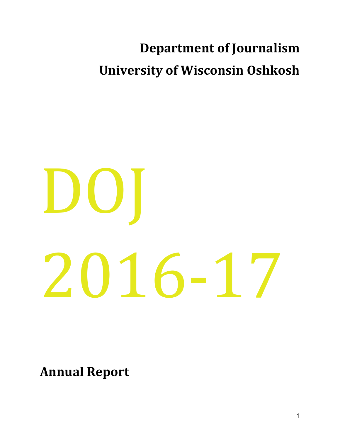# **Department of Journalism University of Wisconsin Oshkosh**

# $\mathbf{D}$ 2016-17

**Annual Report**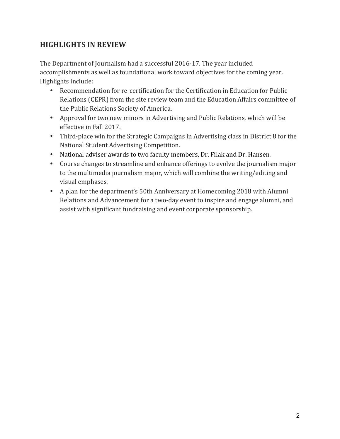# **HIGHLIGHTS IN REVIEW**

The Department of Journalism had a successful 2016-17. The year included accomplishments as well as foundational work toward objectives for the coming year. Highlights include:

- Recommendation for re-certification for the Certification in Education for Public Relations (CEPR) from the site review team and the Education Affairs committee of the Public Relations Society of America.
- Approval for two new minors in Advertising and Public Relations, which will be effective in Fall 2017.
- Third-place win for the Strategic Campaigns in Advertising class in District 8 for the National Student Advertising Competition.
- National adviser awards to two faculty members, Dr. Filak and Dr. Hansen.
- Course changes to streamline and enhance offerings to evolve the journalism major to the multimedia journalism major, which will combine the writing/editing and visual emphases.
- A plan for the department's 50th Anniversary at Homecoming 2018 with Alumni Relations and Advancement for a two-day event to inspire and engage alumni, and assist with significant fundraising and event corporate sponsorship.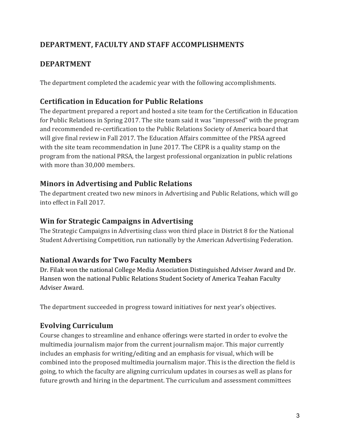# DEPARTMENT, FACULTY AND STAFF ACCOMPLISHMENTS

# **DEPARTMENT**

The department completed the academic year with the following accomplishments.

# **Certification in Education for Public Relations**

The department prepared a report and hosted a site team for the Certification in Education for Public Relations in Spring 2017. The site team said it was "impressed" with the program and recommended re-certification to the Public Relations Society of America board that will give final review in Fall 2017. The Education Affairs committee of the PRSA agreed with the site team recommendation in June 2017. The CEPR is a quality stamp on the program from the national PRSA, the largest professional organization in public relations with more than 30,000 members.

# **Minors in Advertising and Public Relations**

The department created two new minors in Advertising and Public Relations, which will go into effect in Fall 2017.

# **Win for Strategic Campaigns in Advertising**

The Strategic Campaigns in Advertising class won third place in District 8 for the National Student Advertising Competition, run nationally by the American Advertising Federation.

# **National Awards for Two Faculty Members**

Dr. Filak won the national College Media Association Distinguished Adviser Award and Dr. Hansen won the national Public Relations Student Society of America Teahan Faculty Adviser Award.

The department succeeded in progress toward initiatives for next year's objectives.

# **Evolving Curriculum**

Course changes to streamline and enhance offerings were started in order to evolve the multimedia journalism major from the current journalism major. This major currently includes an emphasis for writing/editing and an emphasis for visual, which will be combined into the proposed multimedia journalism major. This is the direction the field is going, to which the faculty are aligning curriculum updates in courses as well as plans for future growth and hiring in the department. The curriculum and assessment committees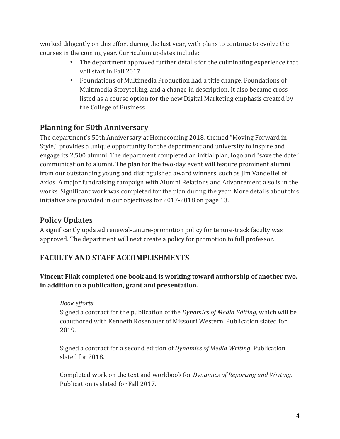worked diligently on this effort during the last year, with plans to continue to evolve the courses in the coming year. Curriculum updates include:

- The department approved further details for the culminating experience that will start in Fall 2017.
- Foundations of Multimedia Production had a title change, Foundations of Multimedia Storytelling, and a change in description. It also became crosslisted as a course option for the new Digital Marketing emphasis created by the College of Business.

# **Planning for 50th Anniversary**

The department's 50th Anniversary at Homecoming 2018, themed "Moving Forward in Style," provides a unique opportunity for the department and university to inspire and engage its 2,500 alumni. The department completed an initial plan, logo and "save the date" communication to alumni. The plan for the two-day event will feature prominent alumni from our outstanding young and distinguished award winners, such as Jim VandeHei of Axios. A major fundraising campaign with Alumni Relations and Advancement also is in the works. Significant work was completed for the plan during the year. More details about this initiative are provided in our objectives for 2017-2018 on page 13.

# **Policy Updates**

A significantly updated renewal-tenure-promotion policy for tenure-track faculty was approved. The department will next create a policy for promotion to full professor.

# **FACULTY AND STAFF ACCOMPLISHMENTS**

**Vincent Filak completed one book and is working toward authorship of another two, in addition to a publication, grant and presentation.** 

# *Book efforts*

Signed a contract for the publication of the *Dynamics of Media Editing*, which will be coauthored with Kenneth Rosenauer of Missouri Western. Publication slated for 2019.

Signed a contract for a second edition of *Dynamics of Media Writing*. Publication slated for 2018.

Completed work on the text and workbook for *Dynamics of Reporting and Writing*. Publication is slated for Fall 2017.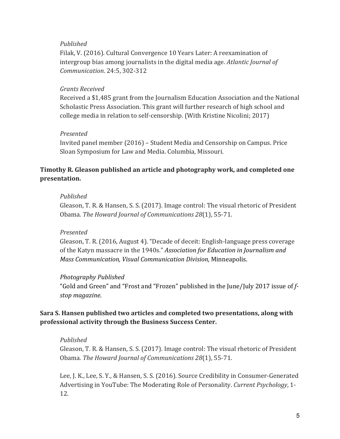#### *Published*

Filak, V. (2016). Cultural Convergence 10 Years Later: A reexamination of intergroup bias among journalists in the digital media age. *Atlantic Journal of Communication*. 24:5, 302-312

#### *Grants Received*

Received a \$1,485 grant from the Journalism Education Association and the National Scholastic Press Association. This grant will further research of high school and college media in relation to self-censorship. (With Kristine Nicolini; 2017)

#### *Presented*

Invited panel member  $(2016)$  – Student Media and Censorship on Campus. Price Sloan Symposium for Law and Media. Columbia, Missouri.

#### **Timothy R. Gleason published an article and photography work, and completed one presentation.**

#### *Published*

Gleason, T. R. & Hansen, S. S. (2017). Image control: The visual rhetoric of President Obama. The Howard Journal of Communications 28(1), 55-71.

#### *Presented*

Gleason, T. R. (2016, August 4). "Decade of deceit: English-language press coverage of the Katyn massacre in the 1940s." Association for Education in Journalism and *Mass Communication, Visual Communication Division,* Minneapolis.

#### *Photography Published*

"Gold and Green" and "Frost and "Frozen" published in the June/July 2017 issue of f*stop magazine*.

#### Sara S. Hansen published two articles and completed two presentations, along with **professional activity through the Business Success Center.**

#### *Published*

Gleason, T. R. & Hansen, S. S. (2017). Image control: The visual rhetoric of President Obama. The Howard Journal of Communications 28(1), 55-71.

Lee, J. K., Lee, S. Y., & Hansen, S. S. (2016). Source Credibility in Consumer-Generated Advertising in YouTube: The Moderating Role of Personality. *Current Psychology*, 1-12.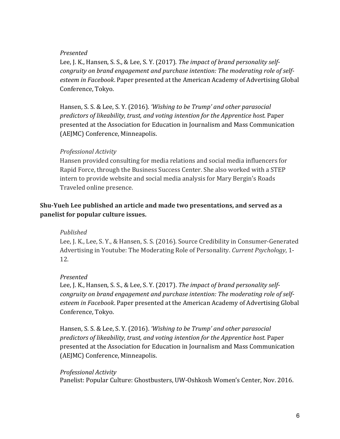#### *Presented*

Lee, J. K., Hansen, S. S., & Lee, S. Y. (2017). *The impact of brand personality self*congruity on brand engagement and purchase intention: The moderating role of selfesteem in Facebook. Paper presented at the American Academy of Advertising Global Conference, Tokyo.

Hansen, S. S. & Lee, S. Y. (2016). 'Wishing to be Trump' and other parasocial *predictors of likeability, trust, and voting intention for the Apprentice host.* Paper presented at the Association for Education in Journalism and Mass Communication (AEJMC) Conference, Minneapolis.

#### *Professional Activity*

Hansen provided consulting for media relations and social media influencers for Rapid Force, through the Business Success Center. She also worked with a STEP intern to provide website and social media analysis for Mary Bergin's Roads Traveled online presence.

#### **Shu-Yueh Lee published an article and made two presentations, and served as a panelist for popular culture issues.**

#### *Published*

Lee, J. K., Lee, S. Y., & Hansen, S. S. (2016). Source Credibility in Consumer-Generated Advertising in Youtube: The Moderating Role of Personality. *Current Psychology*, 1-12.

#### *Presented*

Lee, J. K., Hansen, S. S., & Lee, S. Y. (2017). *The impact of brand personality self*congruity on brand engagement and purchase intention: The moderating role of self*esteem in Facebook*. Paper presented at the American Academy of Advertising Global Conference, Tokyo.

Hansen, S. S. & Lee, S. Y. (2016). *'Wishing to be Trump' and other parasocial* predictors of likeability, trust, and voting intention for the Apprentice host. Paper presented at the Association for Education in Journalism and Mass Communication (AEJMC) Conference, Minneapolis.

#### *Professional Activity*

Panelist: Popular Culture: Ghostbusters, UW-Oshkosh Women's Center, Nov. 2016.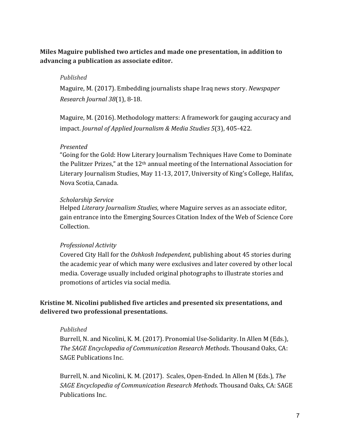#### **Miles Maguire published two articles and made one presentation, in addition to advancing a publication as associate editor.**

#### *Published*

Maguire, M. (2017). Embedding journalists shape Iraq news story. *Newspaper Research Journal 38*(1), 8-18.

Maguire, M. (2016). Methodology matters: A framework for gauging accuracy and impact. *Journal of Applied Journalism & Media Studies* 5(3), 405-422.

#### *Presented*

"Going for the Gold: How Literary Journalism Techniques Have Come to Dominate the Pulitzer Prizes," at the  $12<sup>th</sup>$  annual meeting of the International Association for Literary Journalism Studies, May 11-13, 2017, University of King's College, Halifax, Nova Scotia, Canada.

#### *Scholarship Service*

Helped *Literary Journalism Studies*, where Maguire serves as an associate editor. gain entrance into the Emerging Sources Citation Index of the Web of Science Core Collection.

#### *Professional Activity*

Covered City Hall for the *Oshkosh Independent*, publishing about 45 stories during the academic year of which many were exclusives and later covered by other local media. Coverage usually included original photographs to illustrate stories and promotions of articles via social media.

#### **Kristine M. Nicolini published five articles and presented six presentations, and** delivered two professional presentations.

#### *Published*

Burrell, N. and Nicolini, K. M. (2017). Pronomial Use-Solidarity. In Allen M (Eds.), *The SAGE Encyclopedia of Communication Research Methods*. Thousand Oaks, CA: SAGE Publications Inc.

Burrell, N. and Nicolini, K. M. (2017). Scales, Open-Ended. In Allen M (Eds.), *The SAGE Encyclopedia of Communication Research Methods*. Thousand Oaks, CA: SAGE Publications Inc.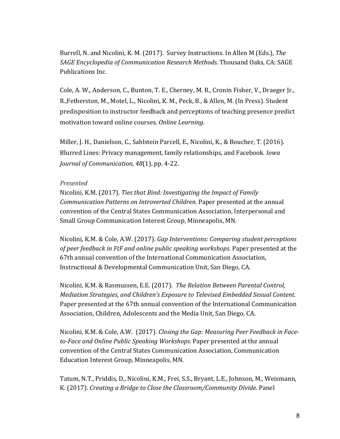Burrell, N. and Nicolini, K. M. (2017). Survey Instructions. In Allen M (Eds.), *The SAGE Encyclopedia of Communication Research Methods*. Thousand Oaks, CA: SAGE Publications Inc.

Cole, A. W., Anderson, C., Bunton, T. E., Cherney, M. R., Cronin Fisher, V., Draeger Jr., R.,Fetherston, M., Motel, L., Nicolini, K. M., Peck, B., & Allen, M. (In Press). Student predisposition to instructor feedback and perceptions of teaching presence predict motivation toward online courses. Online Learning.

Miller, J. H., Danielson, C., Sahlstein Parcell, E., Nicolini, K., & Boucher, T. (2016). Blurred Lines: Privacy management, family relationships, and Facebook. *Iowa Journal of Communication, 48*(1), pp. 4-22.

#### *Presented*

Nicolini, K.M. (2017). *Ties that Bind: Investigating the Impact of Family Communication Patterns on Introverted Children.* Paper presented at the annual convention of the Central States Communication Association, Interpersonal and Small Group Communication Interest Group, Minneapolis, MN.

Nicolini, K.M. & Cole, A.W. (2017). *Gap Interventions: Comparing student perceptions* of peer feedback in FtF and online public speaking workshops. Paper presented at the 67th annual convention of the International Communication Association, Instructional & Developmental Communication Unit, San Diego, CA.

Nicolini, K.M. & Rasmussen, E.E. (2017). The Relation Between Parental Control, *Mediation Strategies, and Children's Exposure to Televised Embedded Sexual Content.* Paper presented at the 67th annual convention of the International Communication Association, Children, Adolescents and the Media Unit, San Diego, CA.

Nicolini, K.M. & Cole, A.W. (2017). *Closing the Gap: Measuring Peer Feedback in Face*to-Face and Online Public Speaking Workshops. Paper presented at the annual convention of the Central States Communication Association, Communication Education Interest Group, Minneapolis, MN.

Tatum, N.T., Priddis, D., Nicolini, K.M., Frei, S.S., Bryant, L.E., Johnson, M., Weismann, K. (2017). *Creating a Bridge to Close the Classroom/Community Divide.* Panel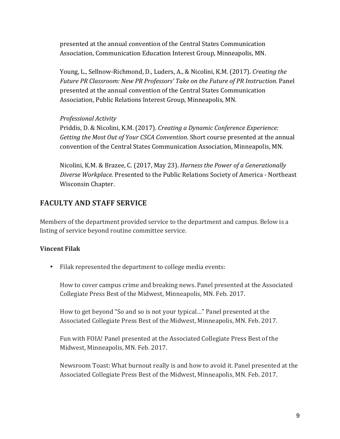presented at the annual convention of the Central States Communication Association, Communication Education Interest Group, Minneapolis, MN.

Young, L., Sellnow-Richmond, D., Luders, A., & Nicolini, K.M. (2017). *Creating the* Future PR Classroom: New PR Professors' Take on the Future of PR Instruction. Panel presented at the annual convention of the Central States Communication Association, Public Relations Interest Group, Minneapolis, MN.

*Professional Activity*

Priddis, D. & Nicolini, K.M. (2017). *Creating a Dynamic Conference Experience: Getting the Most Out of Your CSCA Convention*. Short course presented at the annual convention of the Central States Communication Association, Minneapolis, MN.

Nicolini, K.M. & Brazee, C. (2017, May 23). *Harness the Power of a Generationally Diverse Workplace.* Presented to the Public Relations Society of America - Northeast Wisconsin Chapter.

# **FACULTY AND STAFF SERVICE**

Members of the department provided service to the department and campus. Below is a listing of service beyond routine committee service.

#### **Vincent Filak**

• Filak represented the department to college media events:

How to cover campus crime and breaking news. Panel presented at the Associated Collegiate Press Best of the Midwest, Minneapolis, MN. Feb. 2017.

How to get beyond "So and so is not your typical..." Panel presented at the Associated Collegiate Press Best of the Midwest, Minneapolis, MN. Feb. 2017.

Fun with FOIA! Panel presented at the Associated Collegiate Press Best of the Midwest, Minneapolis, MN. Feb. 2017.

Newsroom Toast: What burnout really is and how to avoid it. Panel presented at the Associated Collegiate Press Best of the Midwest, Minneapolis, MN. Feb. 2017.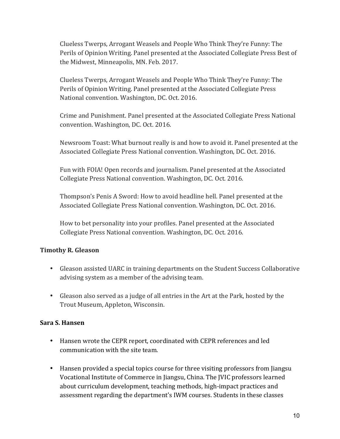Clueless Twerps, Arrogant Weasels and People Who Think They're Funny: The Perils of Opinion Writing. Panel presented at the Associated Collegiate Press Best of the Midwest, Minneapolis, MN. Feb. 2017.

Clueless Twerps, Arrogant Weasels and People Who Think They're Funny: The Perils of Opinion Writing. Panel presented at the Associated Collegiate Press National convention. Washington, DC. Oct. 2016.

Crime and Punishment. Panel presented at the Associated Collegiate Press National convention. Washington, DC. Oct. 2016.

Newsroom Toast: What burnout really is and how to avoid it. Panel presented at the Associated Collegiate Press National convention. Washington, DC. Oct. 2016.

Fun with FOIA! Open records and journalism. Panel presented at the Associated Collegiate Press National convention. Washington, DC. Oct. 2016.

Thompson's Penis A Sword: How to avoid headline hell. Panel presented at the Associated Collegiate Press National convention. Washington, DC. Oct. 2016.

How to bet personality into your profiles. Panel presented at the Associated Collegiate Press National convention. Washington, DC. Oct. 2016.

#### **Timothy R. Gleason**

- Gleason assisted UARC in training departments on the Student Success Collaborative advising system as a member of the advising team.
- Gleason also served as a judge of all entries in the Art at the Park, hosted by the Trout Museum, Appleton, Wisconsin.

#### **Sara S. Hansen**

- Hansen wrote the CEPR report, coordinated with CEPR references and led communication with the site team.
- Hansen provided a special topics course for three visiting professors from Jiangsu Vocational Institute of Commerce in Jiangsu, China. The JVIC professors learned about curriculum development, teaching methods, high-impact practices and assessment regarding the department's IWM courses. Students in these classes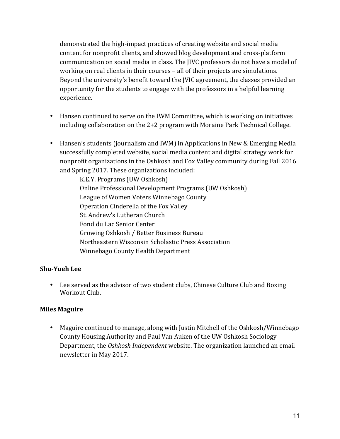demonstrated the high-impact practices of creating website and social media content for nonprofit clients, and showed blog development and cross-platform communication on social media in class. The JIVC professors do not have a model of working on real clients in their courses – all of their projects are simulations. Beyond the university's benefit toward the JVIC agreement, the classes provided an opportunity for the students to engage with the professors in a helpful learning experience.

- Hansen continued to serve on the IWM Committee, which is working on initiatives including collaboration on the  $2+2$  program with Moraine Park Technical College.
- Hansen's students (journalism and IWM) in Applications in New & Emerging Media successfully completed website, social media content and digital strategy work for nonprofit organizations in the Oshkosh and Fox Valley community during Fall 2016 and Spring 2017. These organizations included:

K.E.Y. Programs (UW Oshkosh) Online Professional Development Programs (UW Oshkosh) League of Women Voters Winnebago County Operation Cinderella of the Fox Valley St. Andrew's Lutheran Church Fond du Lac Senior Center Growing Oshkosh / Better Business Bureau Northeastern Wisconsin Scholastic Press Association Winnebago County Health Department

#### **Shu-Yueh Lee**

• Lee served as the advisor of two student clubs, Chinese Culture Club and Boxing Workout Club.

#### **Miles Maguire**

• Maguire continued to manage, along with Justin Mitchell of the Oshkosh/Winnebago County Housing Authority and Paul Van Auken of the UW Oshkosh Sociology Department, the Oshkosh Independent website. The organization launched an email newsletter in May 2017.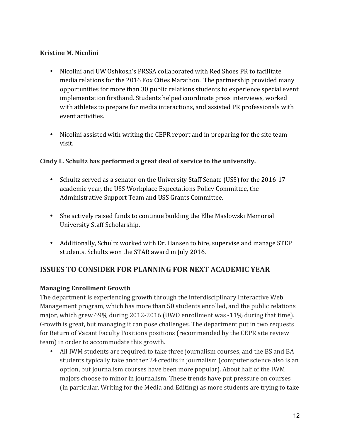#### **Kristine M. Nicolini**

- Nicolini and UW Oshkosh's PRSSA collaborated with Red Shoes PR to facilitate media relations for the 2016 Fox Cities Marathon. The partnership provided many opportunities for more than 30 public relations students to experience special event implementation firsthand. Students helped coordinate press interviews, worked with athletes to prepare for media interactions, and assisted PR professionals with event activities.
- Nicolini assisted with writing the CEPR report and in preparing for the site team visit.

#### Cindy L. Schultz has performed a great deal of service to the university.

- Schultz served as a senator on the University Staff Senate (USS) for the 2016-17 academic year, the USS Workplace Expectations Policy Committee, the Administrative Support Team and USS Grants Committee.
- She actively raised funds to continue building the Ellie Maslowski Memorial University Staff Scholarship.
- Additionally, Schultz worked with Dr. Hansen to hire, supervise and manage STEP students. Schultz won the STAR award in July 2016.

# **ISSUES TO CONSIDER FOR PLANNING FOR NEXT ACADEMIC YEAR**

#### **Managing Enrollment Growth**

The department is experiencing growth through the interdisciplinary Interactive Web Management program, which has more than 50 students enrolled, and the public relations major, which grew 69% during 2012-2016 (UWO enrollment was -11% during that time). Growth is great, but managing it can pose challenges. The department put in two requests for Return of Vacant Faculty Positions positions (recommended by the CEPR site review team) in order to accommodate this growth.

• All IWM students are required to take three journalism courses, and the BS and BA students typically take another 24 credits in journalism (computer science also is an option, but journalism courses have been more popular). About half of the IWM majors choose to minor in journalism. These trends have put pressure on courses (in particular, Writing for the Media and Editing) as more students are trying to take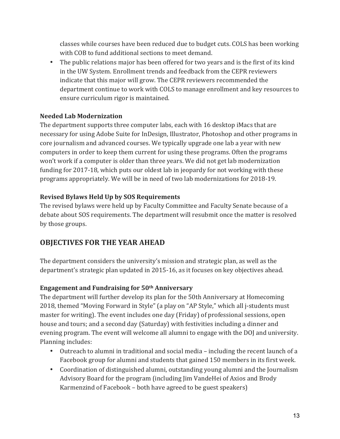classes while courses have been reduced due to budget cuts. COLS has been working with COB to fund additional sections to meet demand.

• The public relations major has been offered for two years and is the first of its kind in the UW System. Enrollment trends and feedback from the CEPR reviewers indicate that this major will grow. The CEPR reviewers recommended the department continue to work with COLS to manage enrollment and key resources to ensure curriculum rigor is maintained.

#### **Needed Lab Modernization**

The department supports three computer labs, each with 16 desktop iMacs that are necessary for using Adobe Suite for InDesign, Illustrator, Photoshop and other programs in core journalism and advanced courses. We typically upgrade one lab a year with new computers in order to keep them current for using these programs. Often the programs won't work if a computer is older than three years. We did not get lab modernization funding for 2017-18, which puts our oldest lab in jeopardy for not working with these programs appropriately. We will be in need of two lab modernizations for 2018-19.

#### **Revised Bylaws Held Up by SOS Requirements**

The revised bylaws were held up by Faculty Committee and Faculty Senate because of a debate about SOS requirements. The department will resubmit once the matter is resolved by those groups.

# **OBJECTIVES FOR THE YEAR AHEAD**

The department considers the university's mission and strategic plan, as well as the department's strategic plan updated in 2015-16, as it focuses on key objectives ahead.

#### **Engagement and Fundraising for 50th Anniversary**

The department will further develop its plan for the 50th Anniversary at Homecoming 2018, themed "Moving Forward in Style" (a play on "AP Style," which all *j*-students must master for writing). The event includes one day (Friday) of professional sessions, open house and tours; and a second day (Saturday) with festivities including a dinner and evening program. The event will welcome all alumni to engage with the DOJ and university. Planning includes:

- Outreach to alumni in traditional and social media including the recent launch of a Facebook group for alumni and students that gained 150 members in its first week.
- Coordination of distinguished alumni, outstanding young alumni and the Journalism Advisory Board for the program (including Jim VandeHei of Axios and Brody Karmenzind of Facebook  $-$  both have agreed to be guest speakers)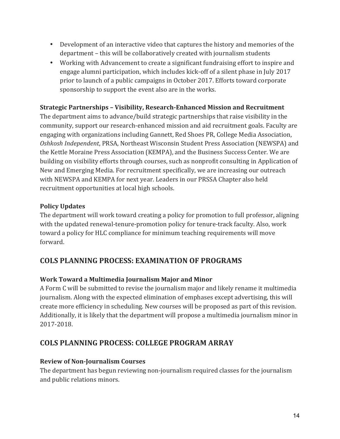- Development of an interactive video that captures the history and memories of the department – this will be collaboratively created with journalism students
- Working with Advancement to create a significant fundraising effort to inspire and engage alumni participation, which includes kick-off of a silent phase in July 2017 prior to launch of a public campaigns in October 2017. Efforts toward corporate sponsorship to support the event also are in the works.

#### **Strategic Partnerships - Visibility, Research-Enhanced Mission and Recruitment**

The department aims to advance/build strategic partnerships that raise visibility in the community, support our research-enhanced mission and aid recruitment goals. Faculty are engaging with organizations including Gannett, Red Shoes PR, College Media Association, *Oshkosh Independent*, PRSA, Northeast Wisconsin Student Press Association (NEWSPA) and the Kettle Moraine Press Association (KEMPA), and the Business Success Center. We are building on visibility efforts through courses, such as nonprofit consulting in Application of New and Emerging Media. For recruitment specifically, we are increasing our outreach with NEWSPA and KEMPA for next year. Leaders in our PRSSA Chapter also held recruitment opportunities at local high schools.

#### **Policy Updates**

The department will work toward creating a policy for promotion to full professor, aligning with the updated renewal-tenure-promotion policy for tenure-track faculty. Also, work toward a policy for HLC compliance for minimum teaching requirements will move forward.

# **COLS PLANNING PROCESS: EXAMINATION OF PROGRAMS**

#### **Work Toward a Multimedia Journalism Major and Minor**

A Form C will be submitted to revise the journalism major and likely rename it multimedia journalism. Along with the expected elimination of emphases except advertising, this will create more efficiency in scheduling. New courses will be proposed as part of this revision. Additionally, it is likely that the department will propose a multimedia journalism minor in 2017-2018.

# **COLS PLANNING PROCESS: COLLEGE PROGRAM ARRAY**

#### **Review of Non-Journalism Courses**

The department has begun reviewing non-journalism required classes for the journalism and public relations minors.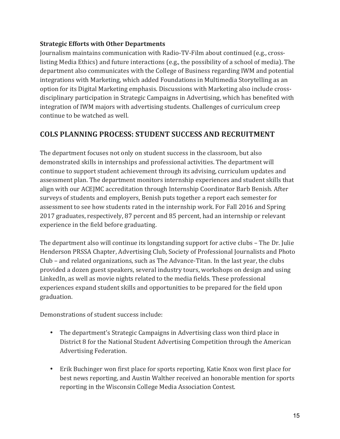#### **Strategic Efforts with Other Departments**

Journalism maintains communication with Radio-TV-Film about continued (e.g., crosslisting Media Ethics) and future interactions (e.g., the possibility of a school of media). The department also communicates with the College of Business regarding IWM and potential integrations with Marketing, which added Foundations in Multimedia Storytelling as an option for its Digital Marketing emphasis. Discussions with Marketing also include crossdisciplinary participation in Strategic Campaigns in Advertising, which has benefited with integration of IWM majors with advertising students. Challenges of curriculum creep continue to be watched as well.

# **COLS PLANNING PROCESS: STUDENT SUCCESS AND RECRUITMENT**

The department focuses not only on student success in the classroom, but also demonstrated skills in internships and professional activities. The department will continue to support student achievement through its advising, curriculum updates and assessment plan. The department monitors internship experiences and student skills that align with our ACEJMC accreditation through Internship Coordinator Barb Benish. After surveys of students and employers, Benish puts together a report each semester for assessment to see how students rated in the internship work. For Fall 2016 and Spring 2017 graduates, respectively, 87 percent and 85 percent, had an internship or relevant experience in the field before graduating.

The department also will continue its longstanding support for active clubs – The Dr. Julie Henderson PRSSA Chapter, Advertising Club, Society of Professional Journalists and Photo Club - and related organizations, such as The Advance-Titan. In the last year, the clubs provided a dozen guest speakers, several industry tours, workshops on design and using LinkedIn, as well as movie nights related to the media fields. These professional experiences expand student skills and opportunities to be prepared for the field upon graduation. 

Demonstrations of student success include:

- The department's Strategic Campaigns in Advertising class won third place in District 8 for the National Student Advertising Competition through the American Advertising Federation.
- Erik Buchinger won first place for sports reporting, Katie Knox won first place for best news reporting, and Austin Walther received an honorable mention for sports reporting in the Wisconsin College Media Association Contest.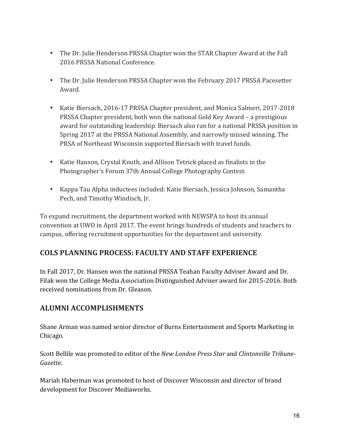- The Dr. Julie Henderson PRSSA Chapter won the STAR Chapter Award at the Fall 2016 PRSSA National Conference.
- The Dr. Julie Henderson PRSSA Chapter won the February 2017 PRSSA Pacesetter Award.
- Katie Biersach, 2016-17 PRSSA Chapter president, and Monica Salmeri, 2017-2018 PRSSA Chapter president, both won the national Gold Key Award – a prestigious award for outstanding leadership. Biersach also ran for a national PRSSA position in Spring 2017 at the PRSSA National Assembly, and narrowly missed winning. The PRSA of Northeast Wisconsin supported Biersach with travel funds.
- Katie Hanson, Crystal Knuth, and Allison Tetrick placed as finalists in the Photographer's Forum 37th Annual College Photography Contest.
- Kappa Tau Alpha inductees included: Katie Biersach, Jessica Johnson, Samantha Pech, and Timothy Windisch, Jr.

To expand recruitment, the department worked with NEWSPA to host its annual convention at UWO in April 2017. The event brings hundreds of students and teachers to campus, offering recruitment opportunities for the department and university.

# **COLS PLANNING PROCESS: FACULTY AND STAFF EXPERIENCE**

In Fall 2017, Dr. Hansen won the national PRSSA Teahan Faculty Adviser Award and Dr. Filak won the College Media Association Distinguished Adviser award for 2015-2016. Both received nominations from Dr. Gleason.

#### **ALUMNI ACCOMPLISHMENTS**

Shane Arman was named senior director of Burns Entertainment and Sports Marketing in Chicago.

Scott Bellile was promoted to editor of the *New London Press Star* and *Clintonville Tribune-Gazette*.

Mariah Haberman was promoted to host of Discover Wisconsin and director of brand development for Discover Mediaworks.